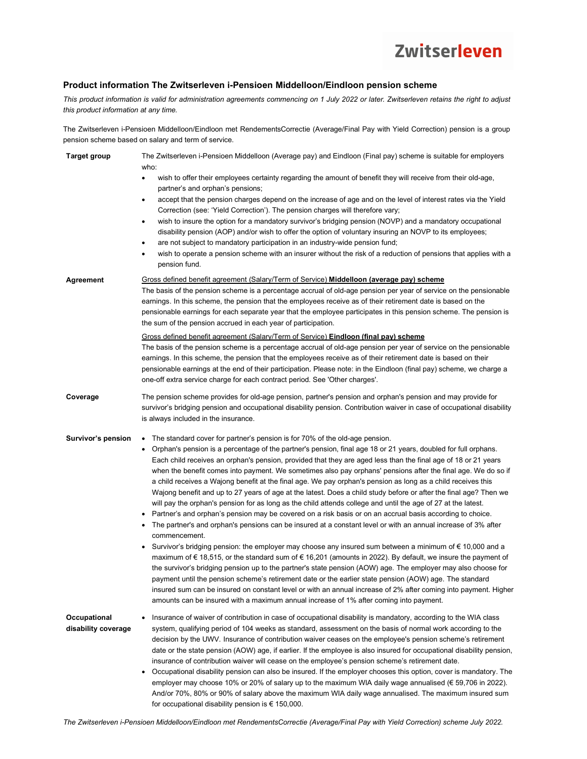#### **Product information The Zwitserleven i-Pensioen Middelloon/Eindloon pension scheme**

*This product information is valid for administration agreements commencing on 1 July 2022 or later. Zwitserleven retains the right to adjust this product information at any time.* 

The Zwitserleven i-Pensioen Middelloon/Eindloon met RendementsCorrectie (Average/Final Pay with Yield Correction) pension is a group pension scheme based on salary and term of service.

| <b>Target group</b>                 | The Zwitserleven i-Pensioen Middelloon (Average pay) and Eindloon (Final pay) scheme is suitable for employers<br>who:<br>wish to offer their employees certainty regarding the amount of benefit they will receive from their old-age,<br>partner's and orphan's pensions;<br>accept that the pension charges depend on the increase of age and on the level of interest rates via the Yield<br>٠<br>Correction (see: 'Yield Correction'). The pension charges will therefore vary;<br>wish to insure the option for a mandatory survivor's bridging pension (NOVP) and a mandatory occupational<br>٠<br>disability pension (AOP) and/or wish to offer the option of voluntary insuring an NOVP to its employees;<br>are not subject to mandatory participation in an industry-wide pension fund;<br>٠<br>wish to operate a pension scheme with an insurer without the risk of a reduction of pensions that applies with a<br>pension fund.                                                                                                                                                                                                                                                                                                                                                                                                                                                                                                                                                                                                                                                                                                                                                                                          |  |  |  |  |  |  |
|-------------------------------------|---------------------------------------------------------------------------------------------------------------------------------------------------------------------------------------------------------------------------------------------------------------------------------------------------------------------------------------------------------------------------------------------------------------------------------------------------------------------------------------------------------------------------------------------------------------------------------------------------------------------------------------------------------------------------------------------------------------------------------------------------------------------------------------------------------------------------------------------------------------------------------------------------------------------------------------------------------------------------------------------------------------------------------------------------------------------------------------------------------------------------------------------------------------------------------------------------------------------------------------------------------------------------------------------------------------------------------------------------------------------------------------------------------------------------------------------------------------------------------------------------------------------------------------------------------------------------------------------------------------------------------------------------------------------------------------------------------------------------------------|--|--|--|--|--|--|
| Agreement                           | Gross defined benefit agreement (Salary/Term of Service) <b>Middelloon (average pay) scheme</b><br>The basis of the pension scheme is a percentage accrual of old-age pension per year of service on the pensionable<br>earnings. In this scheme, the pension that the employees receive as of their retirement date is based on the<br>pensionable earnings for each separate year that the employee participates in this pension scheme. The pension is<br>the sum of the pension accrued in each year of participation.<br>Gross defined benefit agreement (Salary/Term of Service) <b>Eindloon (final pay) scheme</b><br>The basis of the pension scheme is a percentage accrual of old-age pension per year of service on the pensionable<br>earnings. In this scheme, the pension that the employees receive as of their retirement date is based on their<br>pensionable earnings at the end of their participation. Please note: in the Eindloon (final pay) scheme, we charge a<br>one-off extra service charge for each contract period. See 'Other charges'.                                                                                                                                                                                                                                                                                                                                                                                                                                                                                                                                                                                                                                                               |  |  |  |  |  |  |
| Coverage                            | The pension scheme provides for old-age pension, partner's pension and orphan's pension and may provide for<br>survivor's bridging pension and occupational disability pension. Contribution waiver in case of occupational disability<br>is always included in the insurance.                                                                                                                                                                                                                                                                                                                                                                                                                                                                                                                                                                                                                                                                                                                                                                                                                                                                                                                                                                                                                                                                                                                                                                                                                                                                                                                                                                                                                                                        |  |  |  |  |  |  |
| Survivor's pension                  | • The standard cover for partner's pension is for 70% of the old-age pension.<br>Orphan's pension is a percentage of the partner's pension, final age 18 or 21 years, doubled for full orphans.<br>$\bullet$<br>Each child receives an orphan's pension, provided that they are aged less than the final age of 18 or 21 years<br>when the benefit comes into payment. We sometimes also pay orphans' pensions after the final age. We do so if<br>a child receives a Wajong benefit at the final age. We pay orphan's pension as long as a child receives this<br>Wajong benefit and up to 27 years of age at the latest. Does a child study before or after the final age? Then we<br>will pay the orphan's pension for as long as the child attends college and until the age of 27 at the latest.<br>• Partner's and orphan's pension may be covered on a risk basis or on an accrual basis according to choice.<br>The partner's and orphan's pensions can be insured at a constant level or with an annual increase of 3% after<br>٠<br>commencement.<br>Survivor's bridging pension: the employer may choose any insured sum between a minimum of € 10,000 and a<br>٠<br>maximum of € 18,515, or the standard sum of € 16,201 (amounts in 2022). By default, we insure the payment of<br>the survivor's bridging pension up to the partner's state pension (AOW) age. The employer may also choose for<br>payment until the pension scheme's retirement date or the earlier state pension (AOW) age. The standard<br>insured sum can be insured on constant level or with an annual increase of 2% after coming into payment. Higher<br>amounts can be insured with a maximum annual increase of 1% after coming into payment. |  |  |  |  |  |  |
| Occupational<br>disability coverage | Insurance of waiver of contribution in case of occupational disability is mandatory, according to the WIA class<br>٠<br>system, qualifying period of 104 weeks as standard, assessment on the basis of normal work according to the<br>decision by the UWV. Insurance of contribution waiver ceases on the employee's pension scheme's retirement<br>date or the state pension (AOW) age, if earlier. If the employee is also insured for occupational disability pension,<br>insurance of contribution waiver will cease on the employee's pension scheme's retirement date.<br>Occupational disability pension can also be insured. If the employer chooses this option, cover is mandatory. The<br>٠<br>employer may choose 10% or 20% of salary up to the maximum WIA daily wage annualised (€ 59,706 in 2022).<br>And/or 70%, 80% or 90% of salary above the maximum WIA daily wage annualised. The maximum insured sum<br>for occupational disability pension is $\epsilon$ 150,000.                                                                                                                                                                                                                                                                                                                                                                                                                                                                                                                                                                                                                                                                                                                                            |  |  |  |  |  |  |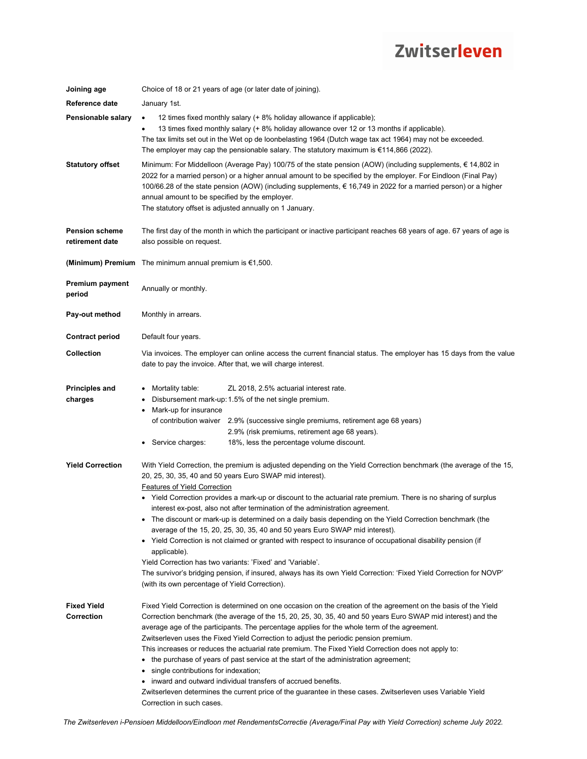| Joining age                              | Choice of 18 or 21 years of age (or later date of joining).                                                                                                                                                                                                                                                                                                                                                                                                                                                                                                                                                                                                                                                                                                                                                                                                                                                                                                                                   |  |  |  |  |  |  |
|------------------------------------------|-----------------------------------------------------------------------------------------------------------------------------------------------------------------------------------------------------------------------------------------------------------------------------------------------------------------------------------------------------------------------------------------------------------------------------------------------------------------------------------------------------------------------------------------------------------------------------------------------------------------------------------------------------------------------------------------------------------------------------------------------------------------------------------------------------------------------------------------------------------------------------------------------------------------------------------------------------------------------------------------------|--|--|--|--|--|--|
| Reference date                           | January 1st.                                                                                                                                                                                                                                                                                                                                                                                                                                                                                                                                                                                                                                                                                                                                                                                                                                                                                                                                                                                  |  |  |  |  |  |  |
| Pensionable salary                       | 12 times fixed monthly salary (+ 8% holiday allowance if applicable);<br>13 times fixed monthly salary (+ 8% holiday allowance over 12 or 13 months if applicable).<br>The tax limits set out in the Wet op de loonbelasting 1964 (Dutch wage tax act 1964) may not be exceeded.<br>The employer may cap the pensionable salary. The statutory maximum is $\epsilon$ 114,866 (2022).                                                                                                                                                                                                                                                                                                                                                                                                                                                                                                                                                                                                          |  |  |  |  |  |  |
| Statutory offset                         | Minimum: For Middelloon (Average Pay) 100/75 of the state pension (AOW) (including supplements, € 14,802 in<br>2022 for a married person) or a higher annual amount to be specified by the employer. For Eindloon (Final Pay)<br>100/66.28 of the state pension (AOW) (including supplements, € 16,749 in 2022 for a married person) or a higher<br>annual amount to be specified by the employer.<br>The statutory offset is adjusted annually on 1 January.                                                                                                                                                                                                                                                                                                                                                                                                                                                                                                                                 |  |  |  |  |  |  |
| <b>Pension scheme</b><br>retirement date | The first day of the month in which the participant or inactive participant reaches 68 years of age. 67 years of age is<br>also possible on request.                                                                                                                                                                                                                                                                                                                                                                                                                                                                                                                                                                                                                                                                                                                                                                                                                                          |  |  |  |  |  |  |
|                                          | <b>(Minimum) Premium</b> The minimum annual premium is $\epsilon$ 1,500.                                                                                                                                                                                                                                                                                                                                                                                                                                                                                                                                                                                                                                                                                                                                                                                                                                                                                                                      |  |  |  |  |  |  |
| Premium payment<br>period                | Annually or monthly.                                                                                                                                                                                                                                                                                                                                                                                                                                                                                                                                                                                                                                                                                                                                                                                                                                                                                                                                                                          |  |  |  |  |  |  |
| Pay-out method                           | Monthly in arrears.                                                                                                                                                                                                                                                                                                                                                                                                                                                                                                                                                                                                                                                                                                                                                                                                                                                                                                                                                                           |  |  |  |  |  |  |
| <b>Contract period</b>                   | Default four years.                                                                                                                                                                                                                                                                                                                                                                                                                                                                                                                                                                                                                                                                                                                                                                                                                                                                                                                                                                           |  |  |  |  |  |  |
| Collection                               | Via invoices. The employer can online access the current financial status. The employer has 15 days from the value<br>date to pay the invoice. After that, we will charge interest.                                                                                                                                                                                                                                                                                                                                                                                                                                                                                                                                                                                                                                                                                                                                                                                                           |  |  |  |  |  |  |
| <b>Principles and</b><br>charges         | Mortality table:<br>ZL 2018, 2.5% actuarial interest rate.<br>Disbursement mark-up: 1.5% of the net single premium.<br>Mark-up for insurance<br>of contribution waiver 2.9% (successive single premiums, retirement age 68 years)<br>2.9% (risk premiums, retirement age 68 years).<br>• Service charges:<br>18%, less the percentage volume discount.                                                                                                                                                                                                                                                                                                                                                                                                                                                                                                                                                                                                                                        |  |  |  |  |  |  |
| <b>Yield Correction</b>                  | With Yield Correction, the premium is adjusted depending on the Yield Correction benchmark (the average of the 15,<br>20, 25, 30, 35, 40 and 50 years Euro SWAP mid interest).<br><b>Features of Yield Correction</b><br>• Yield Correction provides a mark-up or discount to the actuarial rate premium. There is no sharing of surplus<br>interest ex-post, also not after termination of the administration agreement.<br>• The discount or mark-up is determined on a daily basis depending on the Yield Correction benchmark (the<br>average of the 15, 20, 25, 30, 35, 40 and 50 years Euro SWAP mid interest).<br>• Yield Correction is not claimed or granted with respect to insurance of occupational disability pension (if<br>applicable).<br>Yield Correction has two variants: 'Fixed' and 'Variable'.<br>The survivor's bridging pension, if insured, always has its own Yield Correction: 'Fixed Yield Correction for NOVP'<br>(with its own percentage of Yield Correction). |  |  |  |  |  |  |
| <b>Fixed Yield</b><br>Correction         | Fixed Yield Correction is determined on one occasion on the creation of the agreement on the basis of the Yield<br>Correction benchmark (the average of the 15, 20, 25, 30, 35, 40 and 50 years Euro SWAP mid interest) and the<br>average age of the participants. The percentage applies for the whole term of the agreement.<br>Zwitserleven uses the Fixed Yield Correction to adjust the periodic pension premium.<br>This increases or reduces the actuarial rate premium. The Fixed Yield Correction does not apply to:<br>• the purchase of years of past service at the start of the administration agreement;<br>single contributions for indexation;<br>inward and outward individual transfers of accrued benefits.<br>Zwitserleven determines the current price of the guarantee in these cases. Zwitserleven uses Variable Yield<br>Correction in such cases.                                                                                                                   |  |  |  |  |  |  |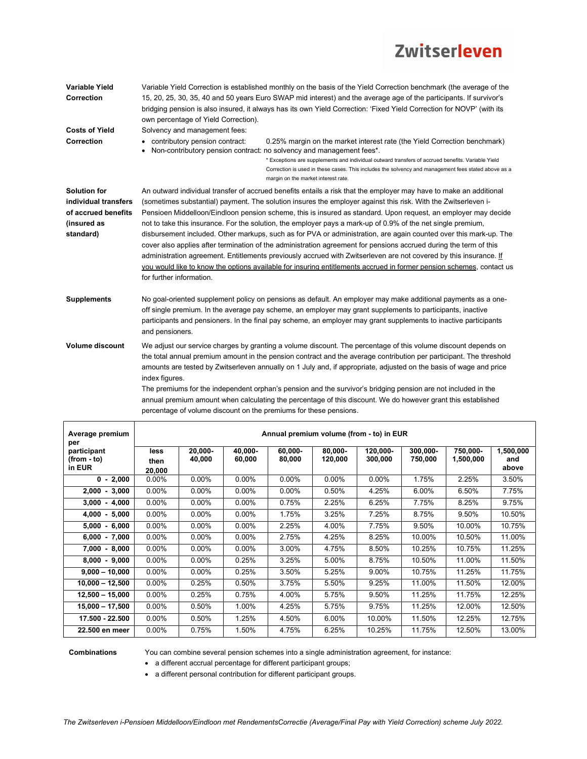| Variable Yield<br>Correction<br><b>Costs of Yield</b>                                          | Variable Yield Correction is established monthly on the basis of the Yield Correction benchmark (the average of the<br>15, 20, 25, 30, 35, 40 and 50 years Euro SWAP mid interest) and the average age of the participants. If survivor's<br>bridging pension is also insured, it always has its own Yield Correction: 'Fixed Yield Correction for NOVP' (with its<br>own percentage of Yield Correction).<br>Solvency and management fees:                                                                                                                                                                                                                                                                                                                                                                                                                                                                                                                                               |  |  |
|------------------------------------------------------------------------------------------------|-------------------------------------------------------------------------------------------------------------------------------------------------------------------------------------------------------------------------------------------------------------------------------------------------------------------------------------------------------------------------------------------------------------------------------------------------------------------------------------------------------------------------------------------------------------------------------------------------------------------------------------------------------------------------------------------------------------------------------------------------------------------------------------------------------------------------------------------------------------------------------------------------------------------------------------------------------------------------------------------|--|--|
| Correction                                                                                     | • contributory pension contract:<br>0.25% margin on the market interest rate (the Yield Correction benchmark)<br>Non-contributory pension contract: no solvency and management fees*.<br>* Exceptions are supplements and individual outward transfers of accrued benefits. Variable Yield<br>Correction is used in these cases. This includes the solvency and management fees stated above as a<br>margin on the market interest rate.                                                                                                                                                                                                                                                                                                                                                                                                                                                                                                                                                  |  |  |
| <b>Solution for</b><br>individual transfers<br>of accrued benefits<br>(insured as<br>standard) | An outward individual transfer of accrued benefits entails a risk that the employer may have to make an additional<br>(sometimes substantial) payment. The solution insures the employer against this risk. With the Zwitserleven i-<br>Pensioen Middelloon/Eindloon pension scheme, this is insured as standard. Upon request, an employer may decide<br>not to take this insurance. For the solution, the employer pays a mark-up of 0.9% of the net single premium,<br>disbursement included. Other markups, such as for PVA or administration, are again counted over this mark-up. The<br>cover also applies after termination of the administration agreement for pensions accrued during the term of this<br>administration agreement. Entitlements previously accrued with Zwitserleven are not covered by this insurance. If<br>you would like to know the options available for insuring entitlements accrued in former pension schemes, contact us<br>for further information. |  |  |
| <b>Supplements</b>                                                                             | No goal-oriented supplement policy on pensions as default. An employer may make additional payments as a one-<br>off single premium. In the average pay scheme, an employer may grant supplements to participants, inactive<br>participants and pensioners. In the final pay scheme, an employer may grant supplements to inactive participants<br>and pensioners.                                                                                                                                                                                                                                                                                                                                                                                                                                                                                                                                                                                                                        |  |  |
| <b>Volume discount</b>                                                                         | We adjust our service charges by granting a volume discount. The percentage of this volume discount depends on<br>the total annual premium amount in the pension contract and the average contribution per participant. The threshold<br>amounts are tested by Zwitserleven annually on 1 July and, if appropriate, adjusted on the basis of wage and price<br>index figures.<br>The premiums for the independent orphan's pension and the survivor's bridging pension are not included in the                                                                                                                                                                                                                                                                                                                                                                                                                                                                                            |  |  |

| Average premium<br>per           | Annual premium volume (from - to) in EUR |          |          |          |          |          |          |           |              |
|----------------------------------|------------------------------------------|----------|----------|----------|----------|----------|----------|-----------|--------------|
| participant                      | less                                     | 20.000-  | 40.000-  | 60.000-  | 80.000-  | 120.000- | 300.000- | 750,000-  | 1,500,000    |
| (from - to)<br>in EUR            | then                                     | 40,000   | 60,000   | 80,000   | 120,000  | 300,000  | 750,000  | 1,500,000 | and<br>above |
| $0 - 2,000$                      | 20,000<br>$0.00\%$                       | $0.00\%$ | $0.00\%$ | $0.00\%$ | $0.00\%$ | $0.00\%$ | 1.75%    | 2.25%     | 3.50%        |
| 2,000<br>3,000<br>$\blacksquare$ | $0.00\%$                                 | $0.00\%$ | $0.00\%$ | $0.00\%$ | 0.50%    | 4.25%    | 6.00%    | 6.50%     | 7.75%        |
|                                  | $0.00\%$                                 | $0.00\%$ | $0.00\%$ | 0.75%    | 2.25%    | 6.25%    | 7.75%    | 8.25%     | 9.75%        |
| $3,000 - 4,000$                  |                                          |          |          |          |          |          |          |           |              |
| $4,000 - 5,000$                  | $0.00\%$                                 | $0.00\%$ | $0.00\%$ | 1.75%    | 3.25%    | 7.25%    | 8.75%    | 9.50%     | 10.50%       |
| 5,000<br>$-6,000$                | $0.00\%$                                 | $0.00\%$ | $0.00\%$ | 2.25%    | 4.00%    | 7.75%    | 9.50%    | 10.00%    | 10.75%       |
| $6,000 - 7,000$                  | $0.00\%$                                 | $0.00\%$ | $0.00\%$ | 2.75%    | 4.25%    | 8.25%    | 10.00%   | 10.50%    | 11.00%       |
| 7,000 - 8,000                    | $0.00\%$                                 | $0.00\%$ | $0.00\%$ | 3.00%    | 4.75%    | 8.50%    | 10.25%   | 10.75%    | 11.25%       |
| $8,000 - 9,000$                  | $0.00\%$                                 | $0.00\%$ | 0.25%    | 3.25%    | 5.00%    | 8.75%    | 10.50%   | 11.00%    | 11.50%       |
| $9,000 - 10,000$                 | $0.00\%$                                 | $0.00\%$ | 0.25%    | 3.50%    | 5.25%    | 9.00%    | 10.75%   | 11.25%    | 11.75%       |
| $10.000 - 12.500$                | $0.00\%$                                 | 0.25%    | 0.50%    | 3.75%    | 5.50%    | 9.25%    | 11.00%   | 11.50%    | 12.00%       |
| $12.500 - 15.000$                | $0.00\%$                                 | 0.25%    | 0.75%    | 4.00%    | 5.75%    | 9.50%    | 11.25%   | 11.75%    | 12.25%       |
| $15,000 - 17,500$                | $0.00\%$                                 | 0.50%    | 1.00%    | 4.25%    | 5.75%    | 9.75%    | 11.25%   | 12.00%    | 12.50%       |
| 17.500 - 22.500                  | $0.00\%$                                 | 0.50%    | 1.25%    | 4.50%    | 6.00%    | 10.00%   | 11.50%   | 12.25%    | 12.75%       |
| 22.500 en meer                   | $0.00\%$                                 | 0.75%    | 1.50%    | 4.75%    | 6.25%    | 10.25%   | 11.75%   | 12.50%    | 13.00%       |

annual premium amount when calculating the percentage of this discount. We do however grant this established percentage of volume discount on the premiums for these pensions.

**Combinations** You can combine several pension schemes into a single administration agreement, for instance:

a different accrual percentage for different participant groups;

a different personal contribution for different participant groups.